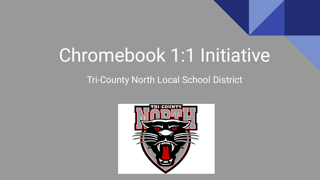# Chromebook 1:1 Initiative

#### Tri-County North Local School District

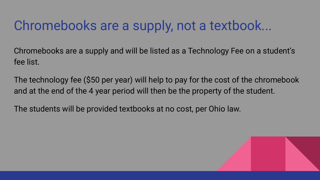### Chromebooks are a supply, not a textbook...

Chromebooks are a supply and will be listed as a Technology Fee on a student's fee list.

The technology fee (\$50 per year) will help to pay for the cost of the chromebook and at the end of the 4 year period will then be the property of the student.

The students will be provided textbooks at no cost, per Ohio law.

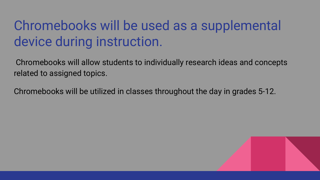# Chromebooks will be used as a supplemental device during instruction.

 Chromebooks will allow students to individually research ideas and concepts related to assigned topics.

Chromebooks will be utilized in classes throughout the day in grades 5-12.

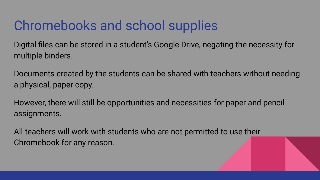# Chromebooks and school supplies

Digital files can be stored in a student's Google Drive, negating the necessity for multiple binders.

Documents created by the students can be shared with teachers without needing a physical, paper copy.

However, there will still be opportunities and necessities for paper and pencil assignments.

All teachers will work with students who are not permitted to use their Chromebook for any reason.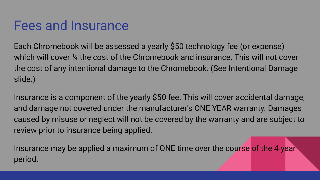#### Fees and Insurance

Each Chromebook will be assessed a yearly \$50 technology fee (or expense) which will cover <sup>1</sup>/4 the cost of the Chromebook and insurance. This will not cover the cost of any intentional damage to the Chromebook. (See Intentional Damage slide.)

Insurance is a component of the yearly \$50 fee. This will cover accidental damage, and damage not covered under the manufacturer's ONE YEAR warranty. Damages caused by misuse or neglect will not be covered by the warranty and are subject to review prior to insurance being applied.

Insurance may be applied a maximum of ONE time over the course of the 4 year period.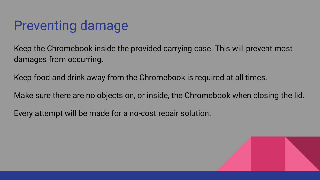### Preventing damage

Keep the Chromebook inside the provided carrying case. This will prevent most damages from occurring.

Keep food and drink away from the Chromebook is required at all times.

Make sure there are no objects on, or inside, the Chromebook when closing the lid.

Every attempt will be made for a no-cost repair solution.

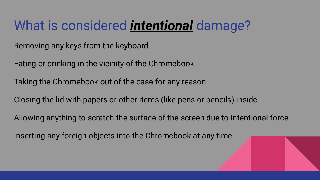# What is considered *intentional* damage?

Removing any keys from the keyboard.

Eating or drinking in the vicinity of the Chromebook.

Taking the Chromebook out of the case for any reason.

Closing the lid with papers or other items (like pens or pencils) inside.

Allowing anything to scratch the surface of the screen due to intentional force.

Inserting any foreign objects into the Chromebook at any time.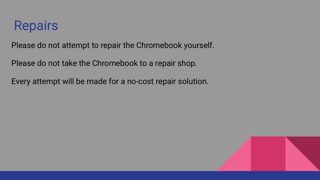#### Repairs

Please do not attempt to repair the Chromebook yourself.

Please do not take the Chromebook to a repair shop.

Every attempt will be made for a no-cost repair solution.

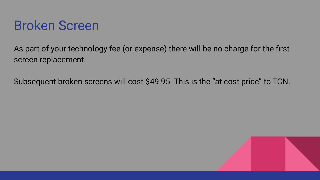

As part of your technology fee (or expense) there will be no charge for the first screen replacement.

Subsequent broken screens will cost \$49.95. This is the "at cost price" to TCN.

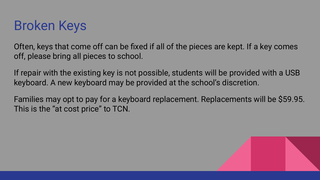

Often, keys that come off can be fixed if all of the pieces are kept. If a key comes off, please bring all pieces to school.

If repair with the existing key is not possible, students will be provided with a USB keyboard. A new keyboard may be provided at the school's discretion.

Families may opt to pay for a keyboard replacement. Replacements will be \$59.95. This is the "at cost price" to TCN.

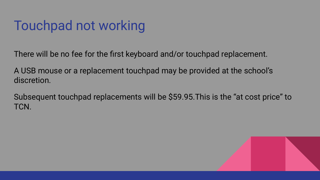# Touchpad not working

There will be no fee for the first keyboard and/or touchpad replacement.

A USB mouse or a replacement touchpad may be provided at the school's discretion.

Subsequent touchpad replacements will be \$59.95.This is the "at cost price" to TCN.